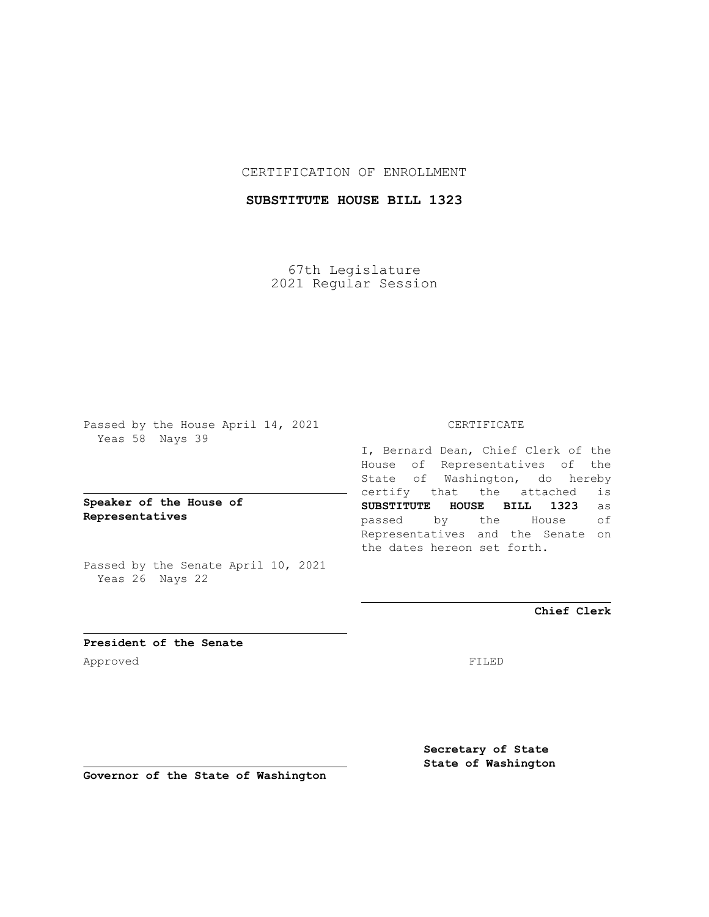### CERTIFICATION OF ENROLLMENT

## **SUBSTITUTE HOUSE BILL 1323**

67th Legislature 2021 Regular Session

Passed by the House April 14, 2021 Yeas 58 Nays 39

**Speaker of the House of Representatives**

Passed by the Senate April 10, 2021 Yeas 26 Nays 22

### CERTIFICATE

I, Bernard Dean, Chief Clerk of the House of Representatives of the State of Washington, do hereby certify that the attached is **SUBSTITUTE HOUSE BILL 1323** as passed by the House of Representatives and the Senate on the dates hereon set forth.

**Chief Clerk**

**President of the Senate** Approved FILED

**Secretary of State State of Washington**

**Governor of the State of Washington**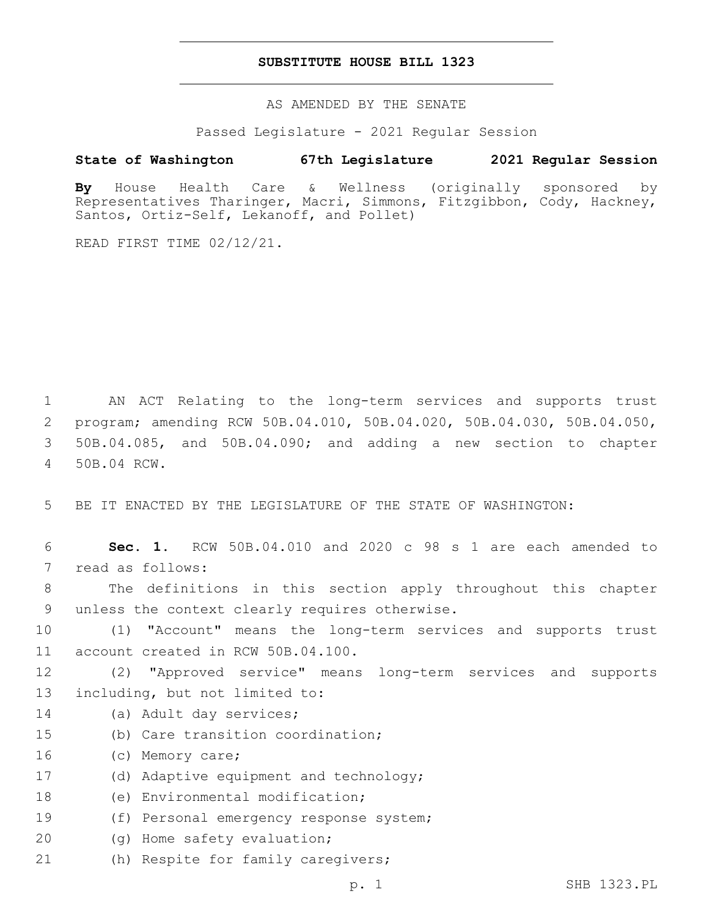#### **SUBSTITUTE HOUSE BILL 1323**

AS AMENDED BY THE SENATE

Passed Legislature - 2021 Regular Session

# **State of Washington 67th Legislature 2021 Regular Session**

**By** House Health Care & Wellness (originally sponsored by Representatives Tharinger, Macri, Simmons, Fitzgibbon, Cody, Hackney, Santos, Ortiz-Self, Lekanoff, and Pollet)

READ FIRST TIME 02/12/21.

 AN ACT Relating to the long-term services and supports trust program; amending RCW 50B.04.010, 50B.04.020, 50B.04.030, 50B.04.050, 50B.04.085, and 50B.04.090; and adding a new section to chapter 50B.04 RCW.4

5 BE IT ENACTED BY THE LEGISLATURE OF THE STATE OF WASHINGTON:

6 **Sec. 1.** RCW 50B.04.010 and 2020 c 98 s 1 are each amended to 7 read as follows: 8 The definitions in this section apply throughout this chapter 9 unless the context clearly requires otherwise. 10 (1) "Account" means the long-term services and supports trust 11 account created in RCW 50B.04.100. 12 (2) "Approved service" means long-term services and supports 13 including, but not limited to: 14 (a) Adult day services; 15 (b) Care transition coordination; 16 (c) Memory care; 17 (d) Adaptive equipment and technology; 18 (e) Environmental modification; 19 (f) Personal emergency response system; 20 (g) Home safety evaluation;

21 (h) Respite for family caregivers;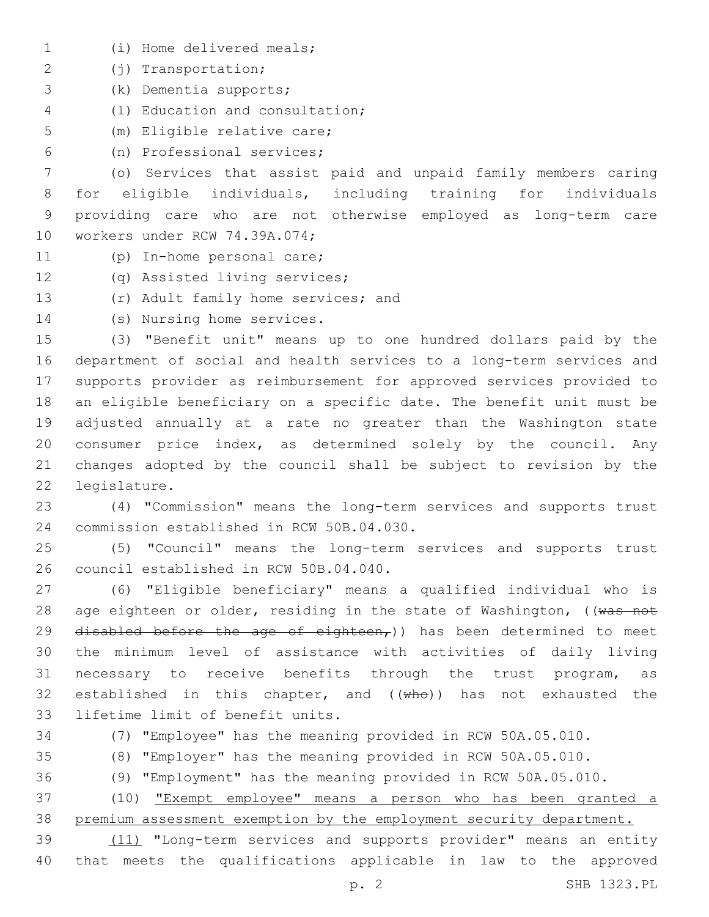- (i) Home delivered meals;1
- (j) Transportation;2
- (k) Dementia supports;3
- (l) Education and consultation;4
- 5 (m) Eligible relative care;
- (n) Professional services;6

 (o) Services that assist paid and unpaid family members caring for eligible individuals, including training for individuals providing care who are not otherwise employed as long-term care 10 workers under RCW 74.39A.074;

- 11 (p) In-home personal care;
- 12 (q) Assisted living services;
- 13 (r) Adult family home services; and
- 14 (s) Nursing home services.

 (3) "Benefit unit" means up to one hundred dollars paid by the department of social and health services to a long-term services and supports provider as reimbursement for approved services provided to an eligible beneficiary on a specific date. The benefit unit must be adjusted annually at a rate no greater than the Washington state consumer price index, as determined solely by the council. Any changes adopted by the council shall be subject to revision by the 22 legislature.

23 (4) "Commission" means the long-term services and supports trust 24 commission established in RCW 50B.04.030.

25 (5) "Council" means the long-term services and supports trust 26 council established in RCW 50B.04.040.

27 (6) "Eligible beneficiary" means a qualified individual who is 28 age eighteen or older, residing in the state of Washington, ((was not 29 disabled before the age of eighteen,)) has been determined to meet 30 the minimum level of assistance with activities of daily living 31 necessary to receive benefits through the trust program, as 32 established in this chapter, and  $((\text{wh}\Theta))$  has not exhausted the 33 lifetime limit of benefit units.

34 (7) "Employee" has the meaning provided in RCW 50A.05.010.

35 (8) "Employer" has the meaning provided in RCW 50A.05.010.

36 (9) "Employment" has the meaning provided in RCW 50A.05.010.

37 (10) "Exempt employee" means a person who has been granted a 38 premium assessment exemption by the employment security department.

39 (11) "Long-term services and supports provider" means an entity 40 that meets the qualifications applicable in law to the approved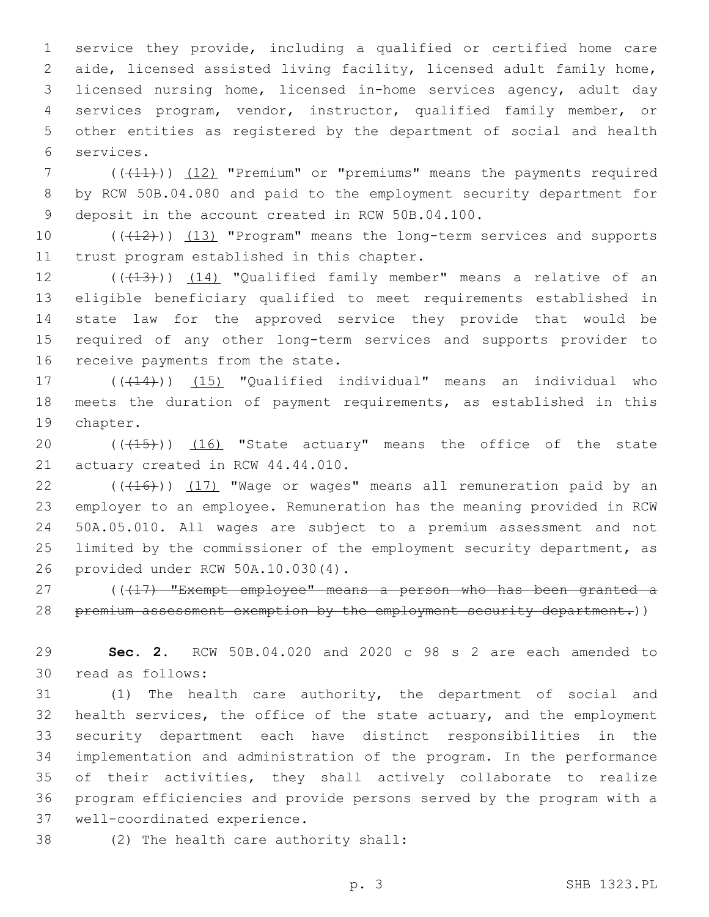service they provide, including a qualified or certified home care aide, licensed assisted living facility, licensed adult family home, licensed nursing home, licensed in-home services agency, adult day services program, vendor, instructor, qualified family member, or other entities as registered by the department of social and health services.6

7 (((41))) (12) "Premium" or "premiums" means the payments required 8 by RCW 50B.04.080 and paid to the employment security department for 9 deposit in the account created in RCW 50B.04.100.

10 (((12))) (13) "Program" means the long-term services and supports 11 trust program established in this chapter.

12 (((13))) (14) "Qualified family member" means a relative of an 13 eligible beneficiary qualified to meet requirements established in 14 state law for the approved service they provide that would be 15 required of any other long-term services and supports provider to 16 receive payments from the state.

17 (((14))) (15) "Qualified individual" means an individual who 18 meets the duration of payment requirements, as established in this 19 chapter.

20 (((15))) (16) "State actuary" means the office of the state 21 actuary created in RCW 44.44.010.

 ( $(\overline{+16})$ )  $(17)$  "Wage or wages" means all remuneration paid by an employer to an employee. Remuneration has the meaning provided in RCW 50A.05.010. All wages are subject to a premium assessment and not limited by the commissioner of the employment security department, as provided under RCW 50A.10.030(4).26

27 ((417) "Exempt employee" means a person who has been granted a 28 premium assessment exemption by the employment security department.))

29 **Sec. 2.** RCW 50B.04.020 and 2020 c 98 s 2 are each amended to 30 read as follows:

 (1) The health care authority, the department of social and health services, the office of the state actuary, and the employment security department each have distinct responsibilities in the implementation and administration of the program. In the performance of their activities, they shall actively collaborate to realize program efficiencies and provide persons served by the program with a 37 well-coordinated experience.

38 (2) The health care authority shall: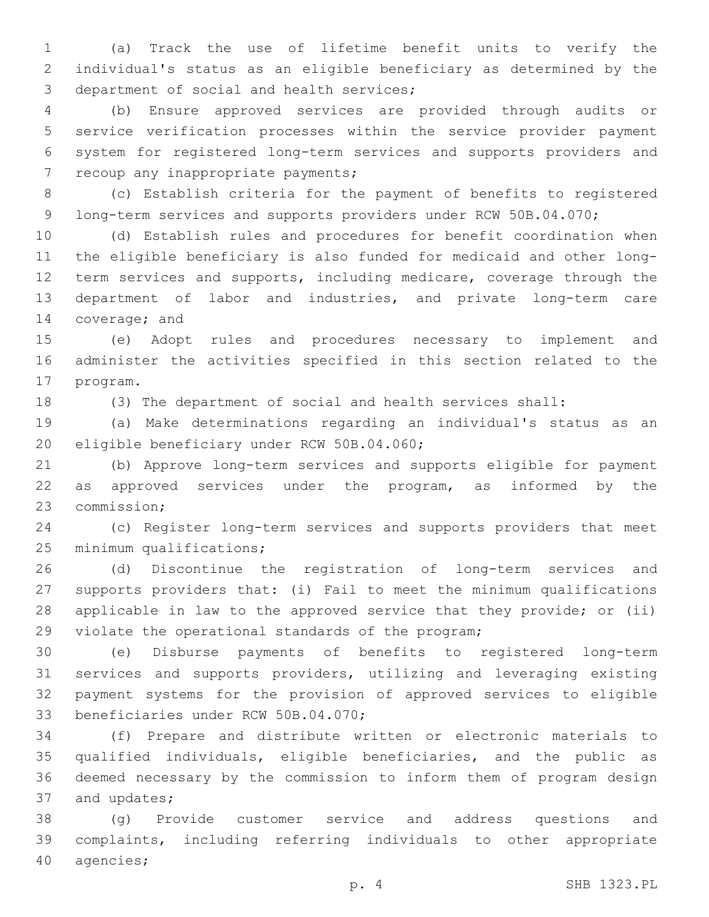(a) Track the use of lifetime benefit units to verify the individual's status as an eligible beneficiary as determined by the 3 department of social and health services;

 (b) Ensure approved services are provided through audits or service verification processes within the service provider payment system for registered long-term services and supports providers and 7 recoup any inappropriate payments;

 (c) Establish criteria for the payment of benefits to registered 9 long-term services and supports providers under RCW 50B.04.070;

 (d) Establish rules and procedures for benefit coordination when the eligible beneficiary is also funded for medicaid and other long-12 term services and supports, including medicare, coverage through the department of labor and industries, and private long-term care 14 coverage; and

 (e) Adopt rules and procedures necessary to implement and administer the activities specified in this section related to the 17 program.

(3) The department of social and health services shall:

 (a) Make determinations regarding an individual's status as an 20 eligible beneficiary under RCW 50B.04.060;

 (b) Approve long-term services and supports eligible for payment 22 as approved services under the program, as informed by the 23 commission;

 (c) Register long-term services and supports providers that meet 25 minimum qualifications;

 (d) Discontinue the registration of long-term services and supports providers that: (i) Fail to meet the minimum qualifications applicable in law to the approved service that they provide; or (ii) 29 violate the operational standards of the program;

 (e) Disburse payments of benefits to registered long-term services and supports providers, utilizing and leveraging existing payment systems for the provision of approved services to eligible 33 beneficiaries under RCW 50B.04.070;

 (f) Prepare and distribute written or electronic materials to qualified individuals, eligible beneficiaries, and the public as deemed necessary by the commission to inform them of program design 37 and updates;

 (g) Provide customer service and address questions and complaints, including referring individuals to other appropriate 40 agencies;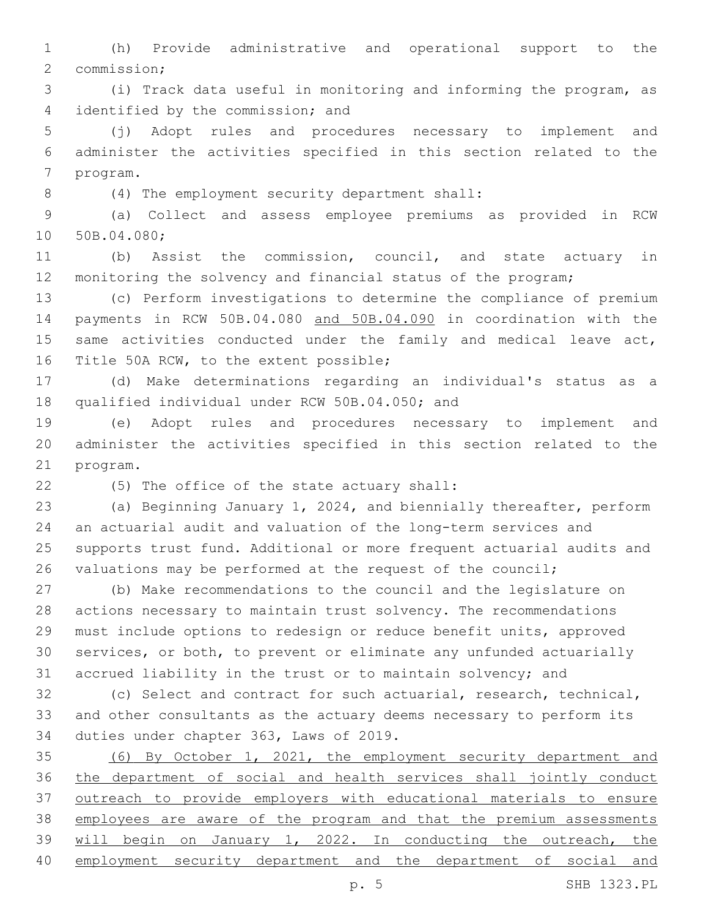(h) Provide administrative and operational support to the 2 commission;

 (i) Track data useful in monitoring and informing the program, as 4 identified by the commission; and

 (j) Adopt rules and procedures necessary to implement and administer the activities specified in this section related to the 7 program.

(4) The employment security department shall:8

 (a) Collect and assess employee premiums as provided in RCW 10 50B.04.080;

 (b) Assist the commission, council, and state actuary in monitoring the solvency and financial status of the program;

 (c) Perform investigations to determine the compliance of premium payments in RCW 50B.04.080 and 50B.04.090 in coordination with the 15 same activities conducted under the family and medical leave act, 16 Title 50A RCW, to the extent possible;

 (d) Make determinations regarding an individual's status as a 18 qualified individual under RCW 50B.04.050; and

 (e) Adopt rules and procedures necessary to implement and administer the activities specified in this section related to the 21 program.

(5) The office of the state actuary shall:22

 (a) Beginning January 1, 2024, and biennially thereafter, perform an actuarial audit and valuation of the long-term services and supports trust fund. Additional or more frequent actuarial audits and valuations may be performed at the request of the council;

 (b) Make recommendations to the council and the legislature on actions necessary to maintain trust solvency. The recommendations must include options to redesign or reduce benefit units, approved services, or both, to prevent or eliminate any unfunded actuarially accrued liability in the trust or to maintain solvency; and

 (c) Select and contract for such actuarial, research, technical, and other consultants as the actuary deems necessary to perform its 34 duties under chapter 363, Laws of 2019.

 (6) By October 1, 2021, the employment security department and the department of social and health services shall jointly conduct outreach to provide employers with educational materials to ensure employees are aware of the program and that the premium assessments 39 will begin on January 1, 2022. In conducting the outreach, the employment security department and the department of social and

p. 5 SHB 1323.PL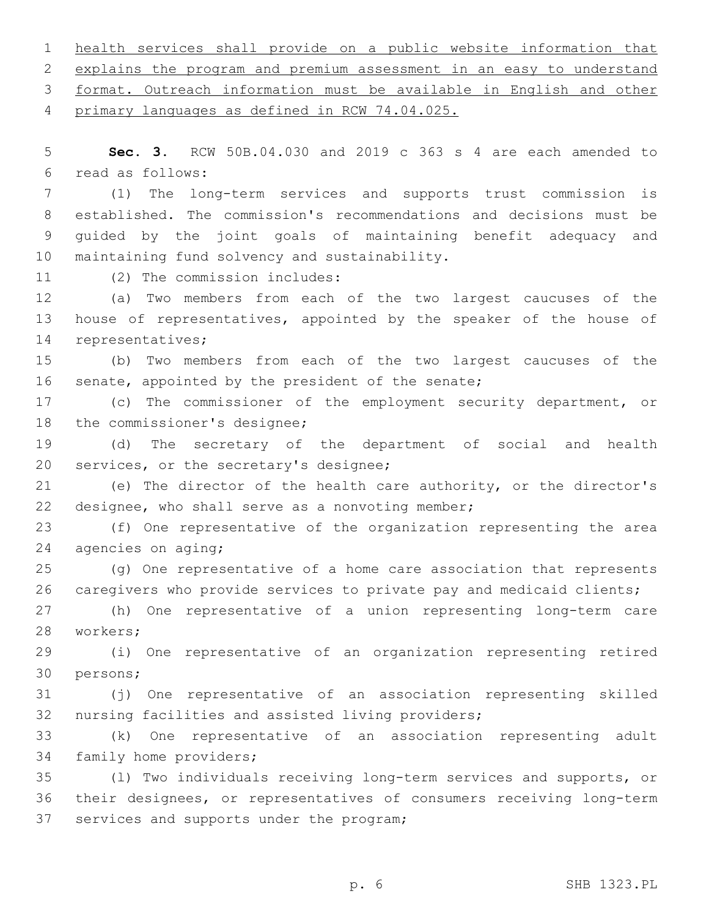1 health services shall provide on a public website information that 2 explains the program and premium assessment in an easy to understand 3 format. Outreach information must be available in English and other 4 primary languages as defined in RCW 74.04.025. 5 **Sec. 3.** RCW 50B.04.030 and 2019 c 363 s 4 are each amended to read as follows:6 7 (1) The long-term services and supports trust commission is 8 established. The commission's recommendations and decisions must be 9 guided by the joint goals of maintaining benefit adequacy and 10 maintaining fund solvency and sustainability. 11 (2) The commission includes: 12 (a) Two members from each of the two largest caucuses of the 13 house of representatives, appointed by the speaker of the house of 14 representatives; 15 (b) Two members from each of the two largest caucuses of the 16 senate, appointed by the president of the senate; 17 (c) The commissioner of the employment security department, or 18 the commissioner's designee; 19 (d) The secretary of the department of social and health 20 services, or the secretary's designee; 21 (e) The director of the health care authority, or the director's 22 designee, who shall serve as a nonvoting member; 23 (f) One representative of the organization representing the area 24 agencies on aging; 25 (g) One representative of a home care association that represents 26 caregivers who provide services to private pay and medicaid clients; 27 (h) One representative of a union representing long-term care 28 workers; 29 (i) One representative of an organization representing retired 30 persons; 31 (j) One representative of an association representing skilled 32 nursing facilities and assisted living providers; 33 (k) One representative of an association representing adult 34 family home providers; 35 (l) Two individuals receiving long-term services and supports, or

36 their designees, or representatives of consumers receiving long-term 37 services and supports under the program;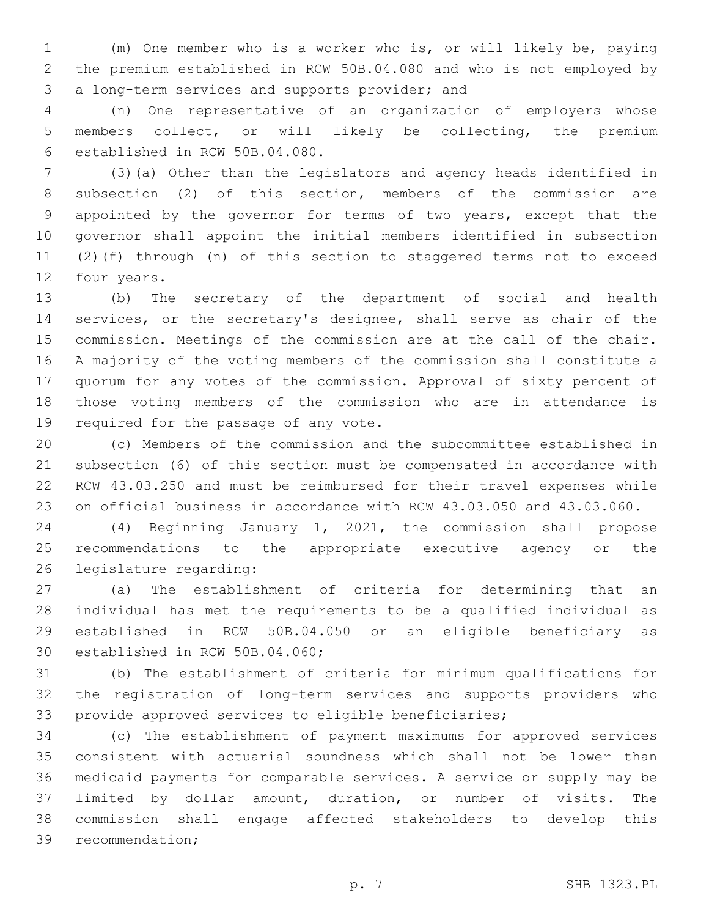(m) One member who is a worker who is, or will likely be, paying the premium established in RCW 50B.04.080 and who is not employed by 3 a long-term services and supports provider; and

 (n) One representative of an organization of employers whose members collect, or will likely be collecting, the premium established in RCW 50B.04.080.6

 (3)(a) Other than the legislators and agency heads identified in subsection (2) of this section, members of the commission are appointed by the governor for terms of two years, except that the governor shall appoint the initial members identified in subsection (2)(f) through (n) of this section to staggered terms not to exceed 12 four years.

 (b) The secretary of the department of social and health services, or the secretary's designee, shall serve as chair of the commission. Meetings of the commission are at the call of the chair. A majority of the voting members of the commission shall constitute a quorum for any votes of the commission. Approval of sixty percent of those voting members of the commission who are in attendance is 19 required for the passage of any vote.

 (c) Members of the commission and the subcommittee established in subsection (6) of this section must be compensated in accordance with RCW 43.03.250 and must be reimbursed for their travel expenses while on official business in accordance with RCW 43.03.050 and 43.03.060.

 (4) Beginning January 1, 2021, the commission shall propose recommendations to the appropriate executive agency or the 26 legislature regarding:

 (a) The establishment of criteria for determining that an individual has met the requirements to be a qualified individual as established in RCW 50B.04.050 or an eligible beneficiary as 30 established in RCW 50B.04.060;

 (b) The establishment of criteria for minimum qualifications for the registration of long-term services and supports providers who provide approved services to eligible beneficiaries;

 (c) The establishment of payment maximums for approved services consistent with actuarial soundness which shall not be lower than medicaid payments for comparable services. A service or supply may be limited by dollar amount, duration, or number of visits. The commission shall engage affected stakeholders to develop this 39 recommendation;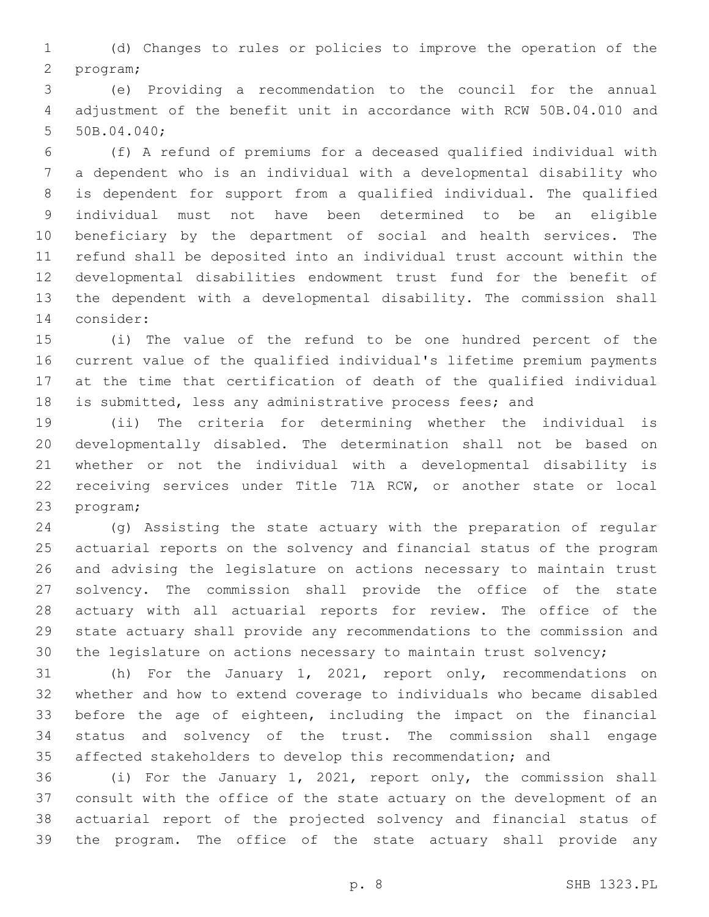(d) Changes to rules or policies to improve the operation of the 2 program;

 (e) Providing a recommendation to the council for the annual adjustment of the benefit unit in accordance with RCW 50B.04.010 and 5 50B.04.040;

 (f) A refund of premiums for a deceased qualified individual with a dependent who is an individual with a developmental disability who is dependent for support from a qualified individual. The qualified individual must not have been determined to be an eligible beneficiary by the department of social and health services. The refund shall be deposited into an individual trust account within the developmental disabilities endowment trust fund for the benefit of the dependent with a developmental disability. The commission shall 14 consider:

 (i) The value of the refund to be one hundred percent of the current value of the qualified individual's lifetime premium payments at the time that certification of death of the qualified individual is submitted, less any administrative process fees; and

 (ii) The criteria for determining whether the individual is developmentally disabled. The determination shall not be based on whether or not the individual with a developmental disability is receiving services under Title 71A RCW, or another state or local 23 program;

 (g) Assisting the state actuary with the preparation of regular actuarial reports on the solvency and financial status of the program and advising the legislature on actions necessary to maintain trust solvency. The commission shall provide the office of the state actuary with all actuarial reports for review. The office of the state actuary shall provide any recommendations to the commission and the legislature on actions necessary to maintain trust solvency;

 (h) For the January 1, 2021, report only, recommendations on whether and how to extend coverage to individuals who became disabled before the age of eighteen, including the impact on the financial status and solvency of the trust. The commission shall engage affected stakeholders to develop this recommendation; and

 (i) For the January 1, 2021, report only, the commission shall consult with the office of the state actuary on the development of an actuarial report of the projected solvency and financial status of the program. The office of the state actuary shall provide any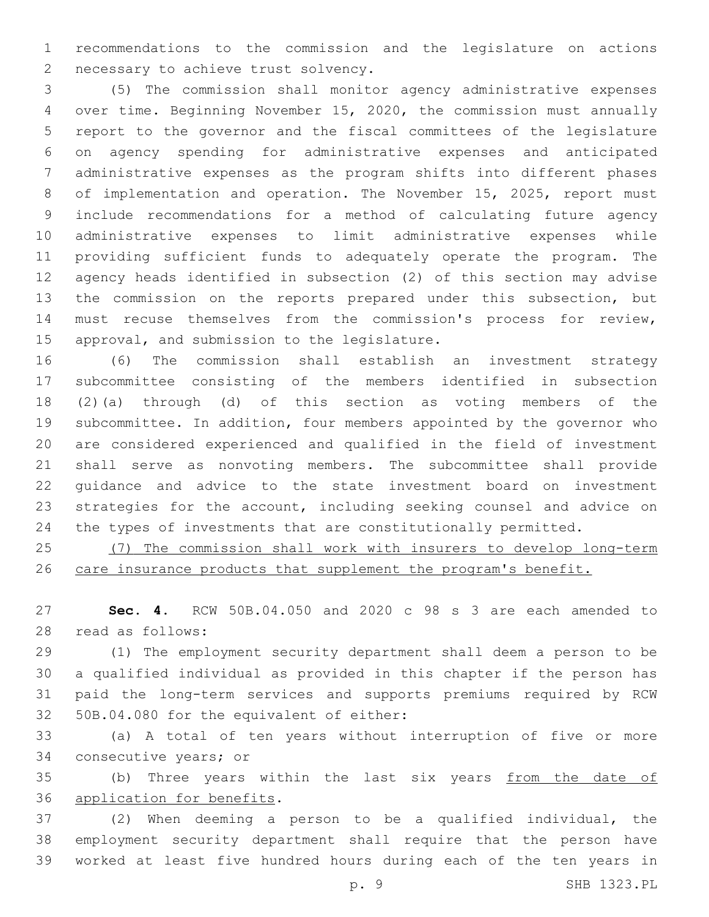recommendations to the commission and the legislature on actions 2 necessary to achieve trust solvency.

 (5) The commission shall monitor agency administrative expenses over time. Beginning November 15, 2020, the commission must annually report to the governor and the fiscal committees of the legislature on agency spending for administrative expenses and anticipated administrative expenses as the program shifts into different phases of implementation and operation. The November 15, 2025, report must include recommendations for a method of calculating future agency administrative expenses to limit administrative expenses while providing sufficient funds to adequately operate the program. The agency heads identified in subsection (2) of this section may advise the commission on the reports prepared under this subsection, but must recuse themselves from the commission's process for review, 15 approval, and submission to the legislature.

 (6) The commission shall establish an investment strategy subcommittee consisting of the members identified in subsection (2)(a) through (d) of this section as voting members of the subcommittee. In addition, four members appointed by the governor who are considered experienced and qualified in the field of investment shall serve as nonvoting members. The subcommittee shall provide guidance and advice to the state investment board on investment strategies for the account, including seeking counsel and advice on the types of investments that are constitutionally permitted.

 (7) The commission shall work with insurers to develop long-term 26 care insurance products that supplement the program's benefit.

 **Sec. 4.** RCW 50B.04.050 and 2020 c 98 s 3 are each amended to read as follows:28

 (1) The employment security department shall deem a person to be a qualified individual as provided in this chapter if the person has paid the long-term services and supports premiums required by RCW 32 50B.04.080 for the equivalent of either:

 (a) A total of ten years without interruption of five or more 34 consecutive years; or

35 (b) Three years within the last six years from the date of 36 application for benefits.

 (2) When deeming a person to be a qualified individual, the employment security department shall require that the person have worked at least five hundred hours during each of the ten years in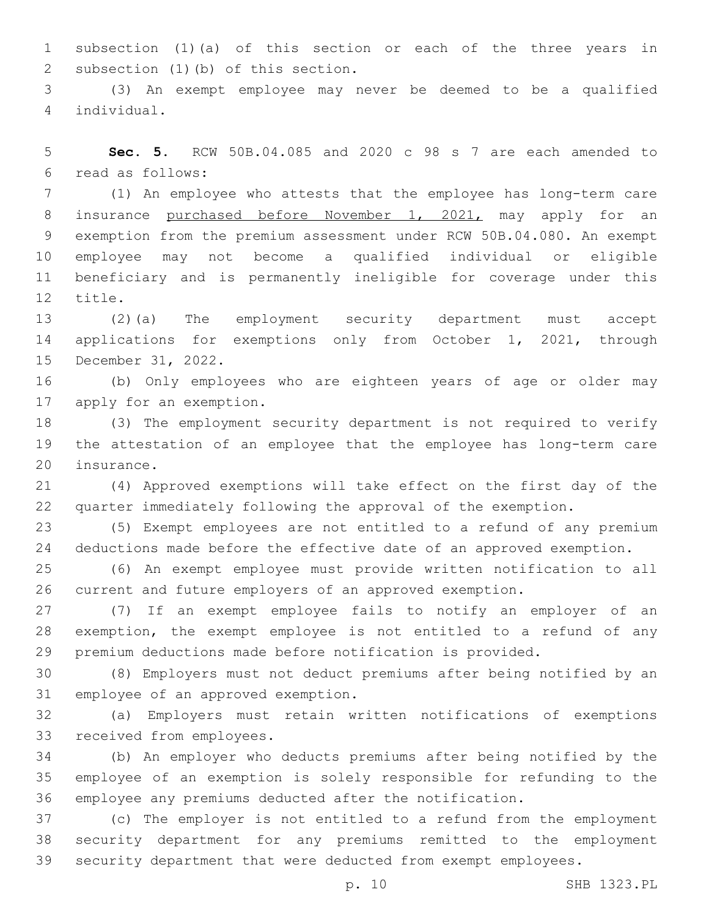subsection (1)(a) of this section or each of the three years in 2 subsection (1)(b) of this section.

 (3) An exempt employee may never be deemed to be a qualified individual.4

 **Sec. 5.** RCW 50B.04.085 and 2020 c 98 s 7 are each amended to read as follows:6

 (1) An employee who attests that the employee has long-term care 8 insurance purchased before November 1, 2021, may apply for an exemption from the premium assessment under RCW 50B.04.080. An exempt employee may not become a qualified individual or eligible beneficiary and is permanently ineligible for coverage under this 12 title.

 (2)(a) The employment security department must accept 14 applications for exemptions only from October 1, 2021, through 15 December 31, 2022.

 (b) Only employees who are eighteen years of age or older may 17 apply for an exemption.

 (3) The employment security department is not required to verify the attestation of an employee that the employee has long-term care 20 insurance.

 (4) Approved exemptions will take effect on the first day of the quarter immediately following the approval of the exemption.

 (5) Exempt employees are not entitled to a refund of any premium deductions made before the effective date of an approved exemption.

 (6) An exempt employee must provide written notification to all current and future employers of an approved exemption.

 (7) If an exempt employee fails to notify an employer of an exemption, the exempt employee is not entitled to a refund of any premium deductions made before notification is provided.

 (8) Employers must not deduct premiums after being notified by an 31 employee of an approved exemption.

 (a) Employers must retain written notifications of exemptions 33 received from employees.

 (b) An employer who deducts premiums after being notified by the employee of an exemption is solely responsible for refunding to the employee any premiums deducted after the notification.

 (c) The employer is not entitled to a refund from the employment security department for any premiums remitted to the employment security department that were deducted from exempt employees.

p. 10 SHB 1323.PL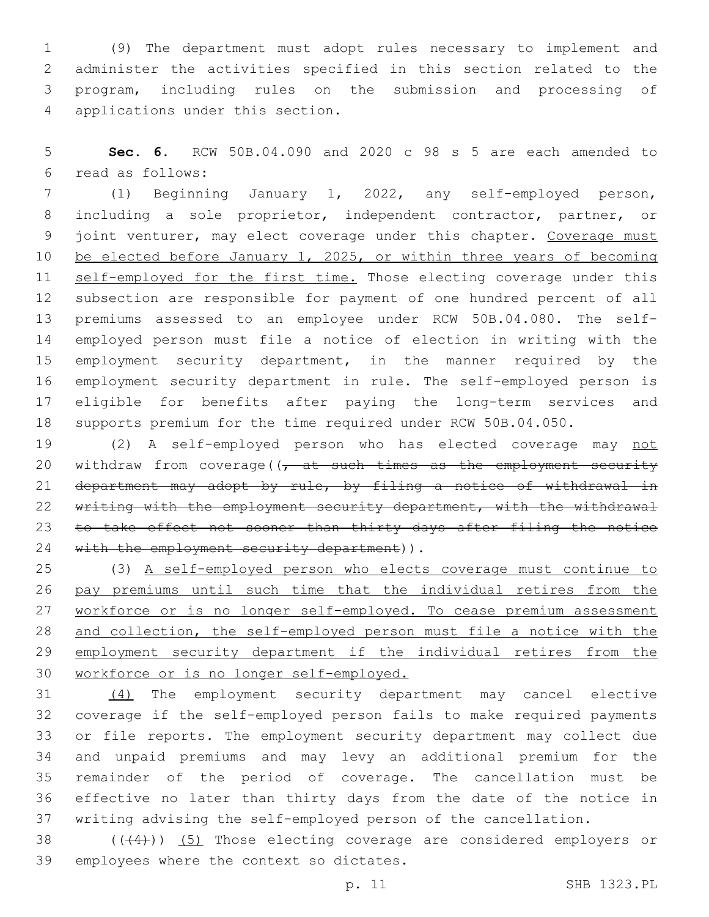(9) The department must adopt rules necessary to implement and administer the activities specified in this section related to the program, including rules on the submission and processing of 4 applications under this section.

 **Sec. 6.** RCW 50B.04.090 and 2020 c 98 s 5 are each amended to read as follows:6

 (1) Beginning January 1, 2022, any self-employed person, including a sole proprietor, independent contractor, partner, or 9 joint venturer, may elect coverage under this chapter. Coverage must be elected before January 1, 2025, or within three years of becoming 11 self-employed for the first time. Those electing coverage under this subsection are responsible for payment of one hundred percent of all premiums assessed to an employee under RCW 50B.04.080. The self- employed person must file a notice of election in writing with the employment security department, in the manner required by the employment security department in rule. The self-employed person is eligible for benefits after paying the long-term services and supports premium for the time required under RCW 50B.04.050.

19 (2) A self-employed person who has elected coverage may not 20 withdraw from coverage( $\sqrt{t}$  at such times as the employment security department may adopt by rule, by filing a notice of withdrawal in 22 writing with the employment security department, with the withdrawal 23 to take effect not sooner than thirty days after filing the notice 24 with the employment security department)).

 (3) A self-employed person who elects coverage must continue to pay premiums until such time that the individual retires from the 27 workforce or is no longer self-employed. To cease premium assessment and collection, the self-employed person must file a notice with the employment security department if the individual retires from the workforce or is no longer self-employed.

 (4) The employment security department may cancel elective coverage if the self-employed person fails to make required payments or file reports. The employment security department may collect due and unpaid premiums and may levy an additional premium for the remainder of the period of coverage. The cancellation must be effective no later than thirty days from the date of the notice in writing advising the self-employed person of the cancellation.

38  $((+4))$   $(5)$  Those electing coverage are considered employers or 39 employees where the context so dictates.

p. 11 SHB 1323.PL